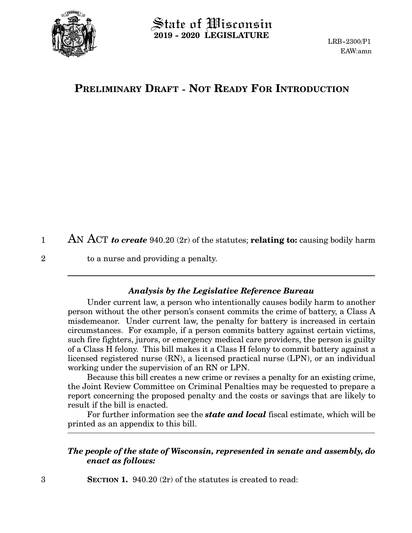

## $\operatorname{\mathsf{State}}$  of Wisconsin **2019 - 2020 LEGISLATURE**

## **PRELIMINARY DRAFT - NOT READY FOR INTRODUCTION**

AN ACT *to create* 940.20 (2r) of the statutes; **relating to:** causing bodily harm 1

to a nurse and providing a penalty.

## *Analysis by the Legislative Reference Bureau*

Under current law, a person who intentionally causes bodily harm to another person without the other person's consent commits the crime of battery, a Class A misdemeanor. Under current law, the penalty for battery is increased in certain circumstances. For example, if a person commits battery against certain victims, such fire fighters, jurors, or emergency medical care providers, the person is guilty of a Class H felony. This bill makes it a Class H felony to commit battery against a licensed registered nurse (RN), a licensed practical nurse (LPN), or an individual working under the supervision of an RN or LPN.

Because this bill creates a new crime or revises a penalty for an existing crime, the Joint Review Committee on Criminal Penalties may be requested to prepare a report concerning the proposed penalty and the costs or savings that are likely to result if the bill is enacted.

For further information see the *state and local* fiscal estimate, which will be printed as an appendix to this bill.

## *The people of the state of Wisconsin, represented in senate and assembly, do enact as follows:*

**SECTION 1.** 940.20 (2r) of the statutes is created to read:

2